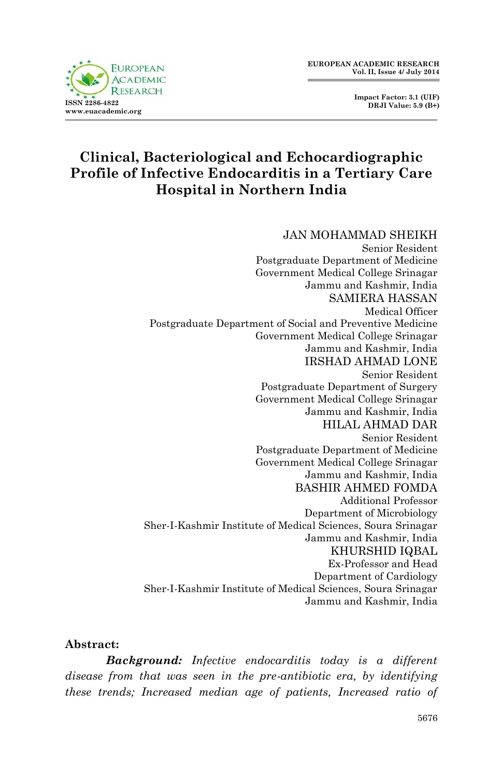**EUROPEAN ACADEMIC RESEARCH Vol. II, Issue 4/ July 2014**

> **Impact Factor: 3.1 (UIF) DRJI Value: 5.9 (B+)**



# **Clinical, Bacteriological and Echocardiographic Profile of Infective Endocarditis in a Tertiary Care Hospital in Northern India**

#### JAN MOHAMMAD SHEIKH

Senior Resident Postgraduate Department of Medicine Government Medical College Srinagar Jammu and Kashmir, India SAMIERA HASSAN Medical Officer Postgraduate Department of Social and Preventive Medicine Government Medical College Srinagar Jammu and Kashmir, India IRSHAD AHMAD LONE Senior Resident Postgraduate Department of Surgery Government Medical College Srinagar Jammu and Kashmir, India HILAL AHMAD DAR Senior Resident Postgraduate Department of Medicine Government Medical College Srinagar Jammu and Kashmir, India BASHIR AHMED FOMDA Additional Professor Department of Microbiology Sher-I-Kashmir Institute of Medical Sciences, Soura Srinagar Jammu and Kashmir, India KHURSHID IQBAL Ex-Professor and Head Department of Cardiology Sher-I-Kashmir Institute of Medical Sciences, Soura Srinagar Jammu and Kashmir, India

#### **Abstract:**

*Background: Infective endocarditis today is a different disease from that was seen in the pre-antibiotic era, by identifying these trends; Increased median age of patients, Increased ratio of*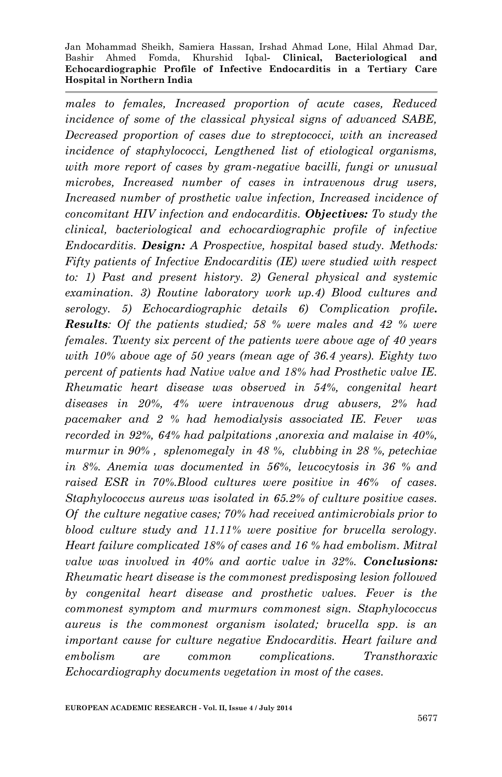*males to females, Increased proportion of acute cases, Reduced incidence of some of the classical physical signs of advanced SABE, Decreased proportion of cases due to streptococci, with an increased incidence of staphylococci, Lengthened list of etiological organisms, with more report of cases by gram-negative bacilli, fungi or unusual microbes, Increased number of cases in intravenous drug users, Increased number of prosthetic valve infection, Increased incidence of concomitant HIV infection and endocarditis. Objectives: To study the clinical, bacteriological and echocardiographic profile of infective Endocarditis. Design: A Prospective, hospital based study. Methods: Fifty patients of Infective Endocarditis (IE) were studied with respect to: 1) Past and present history. 2) General physical and systemic examination. 3) Routine laboratory work up.4) Blood cultures and serology. 5) Echocardiographic details 6) Complication profile. Results: Of the patients studied; 58 % were males and 42 % were females. Twenty six percent of the patients were above age of 40 years with 10% above age of 50 years (mean age of 36.4 years). Eighty two percent of patients had Native valve and 18% had Prosthetic valve IE. Rheumatic heart disease was observed in 54%, congenital heart diseases in 20%, 4% were intravenous drug abusers, 2% had pacemaker and 2 % had hemodialysis associated IE. Fever was recorded in 92%, 64% had palpitations ,anorexia and malaise in 40%, murmur in 90% , splenomegaly in 48 %, clubbing in 28 %, petechiae in 8%. Anemia was documented in 56%, leucocytosis in 36 % and raised ESR in 70%.Blood cultures were positive in 46% of cases. Staphylococcus aureus was isolated in 65.2% of culture positive cases. Of the culture negative cases; 70% had received antimicrobials prior to blood culture study and 11.11% were positive for brucella serology. Heart failure complicated 18% of cases and 16 % had embolism. Mitral valve was involved in 40% and aortic valve in 32%. Conclusions: Rheumatic heart disease is the commonest predisposing lesion followed by congenital heart disease and prosthetic valves. Fever is the commonest symptom and murmurs commonest sign. Staphylococcus aureus is the commonest organism isolated; brucella spp. is an important cause for culture negative Endocarditis. Heart failure and embolism are common complications. Transthoraxic Echocardiography documents vegetation in most of the cases.*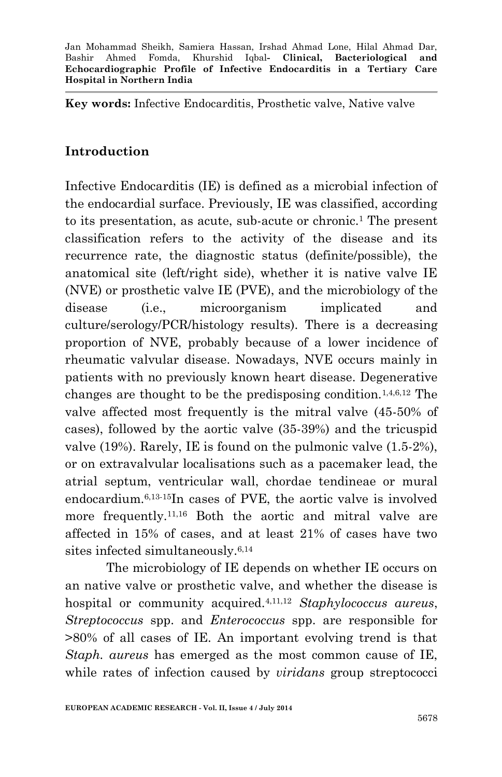**Key words:** Infective Endocarditis, Prosthetic valve, Native valve

# **Introduction**

Infective Endocarditis (IE) is defined as a microbial infection of the endocardial surface. Previously, IE was classified, according to its presentation, as acute, sub-acute or chronic.<sup>1</sup> The present classification refers to the activity of the disease and its recurrence rate, the diagnostic status (definite/possible), the anatomical site (left/right side), whether it is native valve IE (NVE) or prosthetic valve IE (PVE), and the microbiology of the disease (i.e., microorganism implicated and culture/serology/PCR/histology results). There is a decreasing proportion of NVE, probably because of a lower incidence of rheumatic valvular disease. Nowadays, NVE occurs mainly in patients with no previously known heart disease. Degenerative changes are thought to be the predisposing condition.1,4,6,12 The valve affected most frequently is the mitral valve (45-50% of cases), followed by the aortic valve (35-39%) and the tricuspid valve (19%). Rarely, IE is found on the pulmonic valve (1.5-2%), or on extravalvular localisations such as a pacemaker lead, the atrial septum, ventricular wall, chordae tendineae or mural endocardium.6,13-15In cases of PVE, the aortic valve is involved more frequently.<sup>11,16</sup> Both the aortic and mitral valve are affected in 15% of cases, and at least 21% of cases have two sites infected simultaneously.6,14

The microbiology of IE depends on whether IE occurs on an native valve or prosthetic valve, and whether the disease is hospital or community acquired.4,11,12 *Staphylococcus aureus*, *Streptococcus* spp. and *Enterococcus* spp. are responsible for >80% of all cases of IE. An important evolving trend is that *Staph. aureus* has emerged as the most common cause of IE, while rates of infection caused by *viridans* group streptococci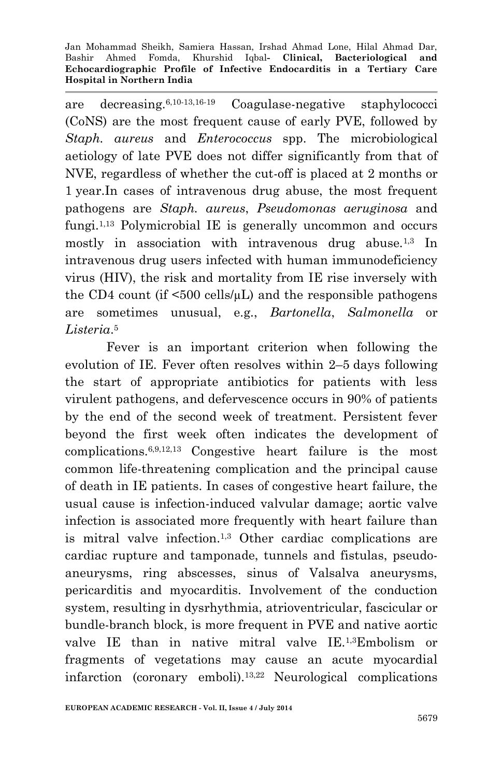are decreasing.6,10-13,16-19 Coagulase-negative staphylococci (CoNS) are the most frequent cause of early PVE, followed by *Staph. aureus* and *Enterococcus* spp. The microbiological aetiology of late PVE does not differ significantly from that of NVE, regardless of whether the cut-off is placed at 2 months or 1 year.In cases of intravenous drug abuse, the most frequent pathogens are *Staph. aureus*, *Pseudomonas aeruginosa* and fungi.1,13 Polymicrobial IE is generally uncommon and occurs mostly in association with intravenous drug abuse.<sup>1,3</sup> In intravenous drug users infected with human immunodeficiency virus (HIV), the risk and mortality from IE rise inversely with the CD4 count (if  $\leq 500$  cells/ $\mu$ L) and the responsible pathogens are sometimes unusual, e.g., *Bartonella*, *Salmonella* or *Listeria*. 5

Fever is an important criterion when following the evolution of IE. Fever often resolves within 2–5 days following the start of appropriate antibiotics for patients with less virulent pathogens, and defervescence occurs in 90% of patients by the end of the second week of treatment. Persistent fever beyond the first week often indicates the development of complications.6,9,12,13 Congestive heart failure is the most common life-threatening complication and the principal cause of death in IE patients. In cases of congestive heart failure, the usual cause is infection-induced valvular damage; aortic valve infection is associated more frequently with heart failure than is mitral valve infection.1,3 Other cardiac complications are cardiac rupture and tamponade, tunnels and fistulas, pseudoaneurysms, ring abscesses, sinus of Valsalva aneurysms, pericarditis and myocarditis. Involvement of the conduction system, resulting in dysrhythmia, atrioventricular, fascicular or bundle-branch block, is more frequent in PVE and native aortic valve IE than in native mitral valve IE.1,3Embolism or fragments of vegetations may cause an acute myocardial infarction (coronary emboli).13,22 Neurological complications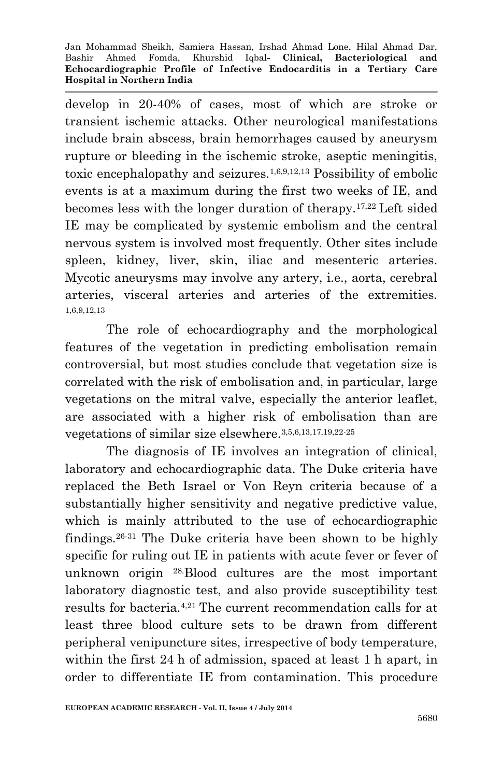develop in 20-40% of cases, most of which are stroke or transient ischemic attacks. Other neurological manifestations include brain abscess, brain hemorrhages caused by aneurysm rupture or bleeding in the ischemic stroke, aseptic meningitis, toxic encephalopathy and seizures.1,6,9,12,13 Possibility of embolic events is at a maximum during the first two weeks of IE, and becomes less with the longer duration of therapy.17,22 Left sided IE may be complicated by systemic embolism and the central nervous system is involved most frequently. Other sites include spleen, kidney, liver, skin, iliac and mesenteric arteries. Mycotic aneurysms may involve any artery, i.e., aorta, cerebral arteries, visceral arteries and arteries of the extremities. 1,6,9,12,13

The role of echocardiography and the morphological features of the vegetation in predicting embolisation remain controversial, but most studies conclude that vegetation size is correlated with the risk of embolisation and, in particular, large vegetations on the mitral valve, especially the anterior leaflet, are associated with a higher risk of embolisation than are vegetations of similar size elsewhere.3,5,6,13,17,19,22-25

The diagnosis of IE involves an integration of clinical, laboratory and echocardiographic data. The Duke criteria have replaced the Beth Israel or Von Reyn criteria because of a substantially higher sensitivity and negative predictive value, which is mainly attributed to the use of echocardiographic findings.26-31 The Duke criteria have been shown to be highly specific for ruling out IE in patients with acute fever or fever of unknown origin 28.Blood cultures are the most important laboratory diagnostic test, and also provide susceptibility test results for bacteria.4,21 The current recommendation calls for at least three blood culture sets to be drawn from different peripheral venipuncture sites, irrespective of body temperature, within the first 24 h of admission, spaced at least 1 h apart, in order to differentiate IE from contamination. This procedure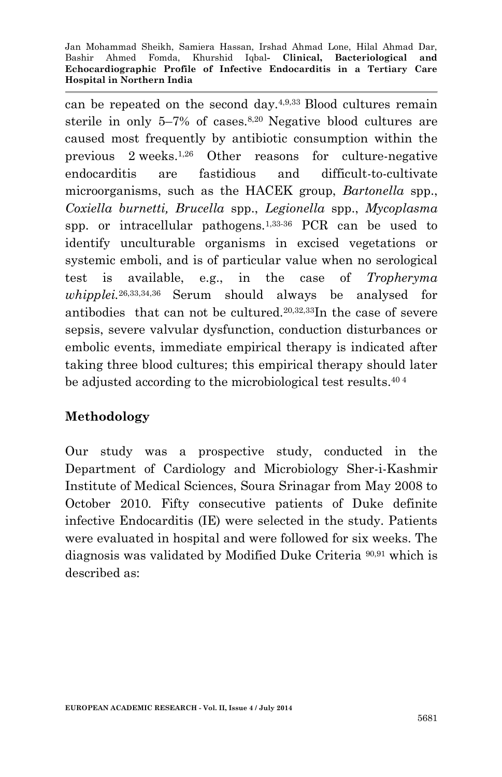can be repeated on the second day.4,9,33 Blood cultures remain sterile in only 5–7% of cases.8,20 Negative blood cultures are caused most frequently by antibiotic consumption within the previous 2 weeks.1,26 Other reasons for culture-negative endocarditis are fastidious and difficult-to-cultivate microorganisms, such as the HACEK group, *Bartonella* spp., *Coxiella burnetti, Brucella* spp., *Legionella* spp., *Mycoplasma* spp. or intracellular pathogens.1,33-36 PCR can be used to identify unculturable organisms in excised vegetations or systemic emboli, and is of particular value when no serological test is available, e.g., in the case of *Tropheryma whipplei.*26,33,34,36 Serum should always be analysed for antibodies that can not be cultured.20,32,33In the case of severe sepsis, severe valvular dysfunction, conduction disturbances or embolic events, immediate empirical therapy is indicated after taking three blood cultures; this empirical therapy should later be adjusted according to the microbiological test results.<sup>404</sup>

# **Methodology**

Our study was a prospective study, conducted in the Department of Cardiology and Microbiology Sher-i-Kashmir Institute of Medical Sciences, Soura Srinagar from May 2008 to October 2010. Fifty consecutive patients of Duke definite infective Endocarditis (IE) were selected in the study. Patients were evaluated in hospital and were followed for six weeks. The diagnosis was validated by Modified Duke Criteria 90,91 which is described as: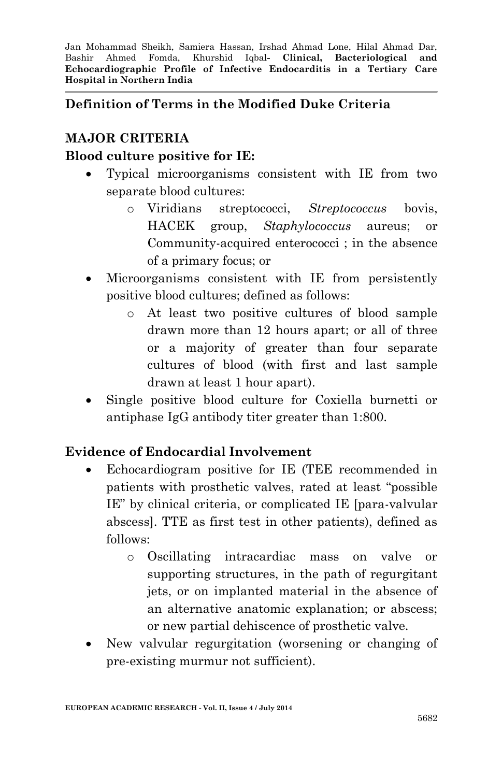# **Definition of Terms in the Modified Duke Criteria**

# **MAJOR CRITERIA**

### **Blood culture positive for IE:**

- Typical microorganisms consistent with IE from two separate blood cultures:
	- o Viridians streptococci, *Streptococcus* bovis, HACEK group, *Staphylococcus* aureus; or Community-acquired enterococci ; in the absence of a primary focus; or
- Microorganisms consistent with IE from persistently positive blood cultures; defined as follows:
	- o At least two positive cultures of blood sample drawn more than 12 hours apart; or all of three or a majority of greater than four separate cultures of blood (with first and last sample drawn at least 1 hour apart).
- Single positive blood culture for Coxiella burnetti or antiphase IgG antibody titer greater than 1:800.

# **Evidence of Endocardial Involvement**

- Echocardiogram positive for IE (TEE recommended in patients with prosthetic valves, rated at least "possible IE" by clinical criteria, or complicated IE [para-valvular abscess]. TTE as first test in other patients), defined as follows:
	- o Oscillating intracardiac mass on valve or supporting structures, in the path of regurgitant jets, or on implanted material in the absence of an alternative anatomic explanation; or abscess; or new partial dehiscence of prosthetic valve.
- New valvular regurgitation (worsening or changing of pre-existing murmur not sufficient).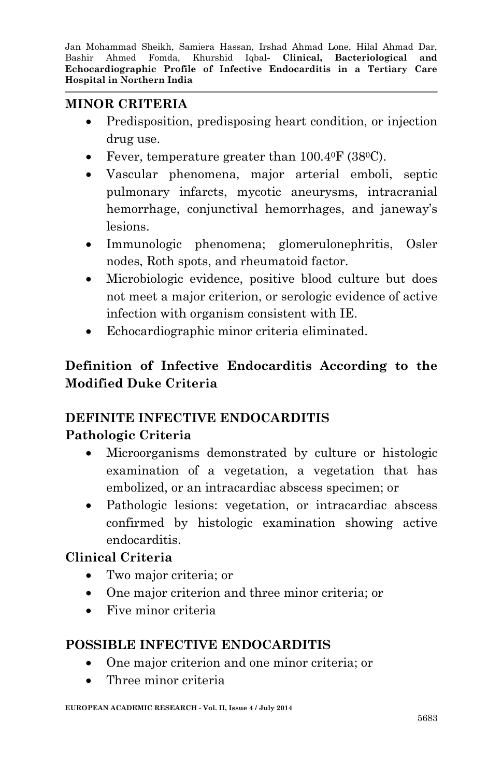# **MINOR CRITERIA**

- Predisposition, predisposing heart condition, or injection drug use.
- Fever, temperature greater than 100.4<sup>0</sup>F (38<sup>0</sup>C).
- Vascular phenomena, major arterial emboli, septic pulmonary infarcts, mycotic aneurysms, intracranial hemorrhage, conjunctival hemorrhages, and janeway's lesions.
- Immunologic phenomena; glomerulonephritis, Osler nodes, Roth spots, and rheumatoid factor.
- Microbiologic evidence, positive blood culture but does not meet a major criterion, or serologic evidence of active infection with organism consistent with IE.
- Echocardiographic minor criteria eliminated.

# **Definition of Infective Endocarditis According to the Modified Duke Criteria**

# **DEFINITE INFECTIVE ENDOCARDITIS**

# **Pathologic Criteria**

- Microorganisms demonstrated by culture or histologic examination of a vegetation, a vegetation that has embolized, or an intracardiac abscess specimen; or
- Pathologic lesions: vegetation, or intracardiac abscess confirmed by histologic examination showing active endocarditis.

# **Clinical Criteria**

- Two major criteria; or
- One major criterion and three minor criteria; or
- Five minor criteria

# **POSSIBLE INFECTIVE ENDOCARDITIS**

- One major criterion and one minor criteria; or
- Three minor criteria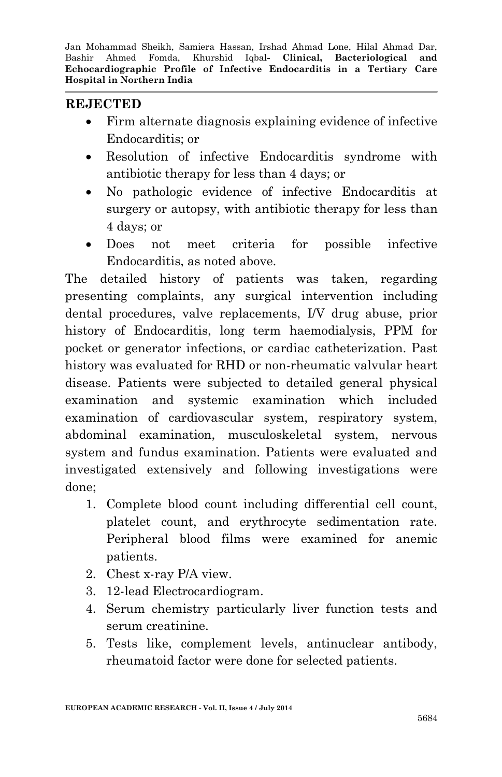### **REJECTED**

- Firm alternate diagnosis explaining evidence of infective Endocarditis; or
- Resolution of infective Endocarditis syndrome with antibiotic therapy for less than 4 days; or
- No pathologic evidence of infective Endocarditis at surgery or autopsy, with antibiotic therapy for less than 4 days; or
- Does not meet criteria for possible infective Endocarditis, as noted above.

The detailed history of patients was taken, regarding presenting complaints, any surgical intervention including dental procedures, valve replacements, I/V drug abuse, prior history of Endocarditis, long term haemodialysis, PPM for pocket or generator infections, or cardiac catheterization. Past history was evaluated for RHD or non-rheumatic valvular heart disease. Patients were subjected to detailed general physical examination and systemic examination which included examination of cardiovascular system, respiratory system, abdominal examination, musculoskeletal system, nervous system and fundus examination. Patients were evaluated and investigated extensively and following investigations were done;

- 1. Complete blood count including differential cell count, platelet count, and erythrocyte sedimentation rate. Peripheral blood films were examined for anemic patients.
- 2. Chest x-ray P/A view.
- 3. 12-lead Electrocardiogram.
- 4. Serum chemistry particularly liver function tests and serum creatinine.
- 5. Tests like, complement levels, antinuclear antibody, rheumatoid factor were done for selected patients.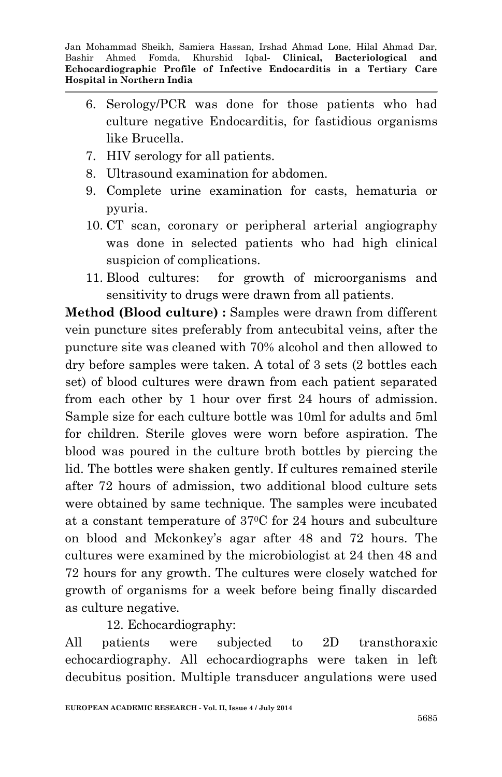- 6. Serology/PCR was done for those patients who had culture negative Endocarditis, for fastidious organisms like Brucella.
- 7. HIV serology for all patients.
- 8. Ultrasound examination for abdomen.
- 9. Complete urine examination for casts, hematuria or pyuria.
- 10. CT scan, coronary or peripheral arterial angiography was done in selected patients who had high clinical suspicion of complications.
- 11. Blood cultures: for growth of microorganisms and sensitivity to drugs were drawn from all patients.

**Method (Blood culture) :** Samples were drawn from different vein puncture sites preferably from antecubital veins, after the puncture site was cleaned with 70% alcohol and then allowed to dry before samples were taken. A total of 3 sets (2 bottles each set) of blood cultures were drawn from each patient separated from each other by 1 hour over first 24 hours of admission. Sample size for each culture bottle was 10ml for adults and 5ml for children. Sterile gloves were worn before aspiration. The blood was poured in the culture broth bottles by piercing the lid. The bottles were shaken gently. If cultures remained sterile after 72 hours of admission, two additional blood culture sets were obtained by same technique. The samples were incubated at a constant temperature of 370C for 24 hours and subculture on blood and Mckonkey's agar after 48 and 72 hours. The cultures were examined by the microbiologist at 24 then 48 and 72 hours for any growth. The cultures were closely watched for growth of organisms for a week before being finally discarded as culture negative.

12. Echocardiography:

All patients were subjected to 2D transthoraxic echocardiography. All echocardiographs were taken in left decubitus position. Multiple transducer angulations were used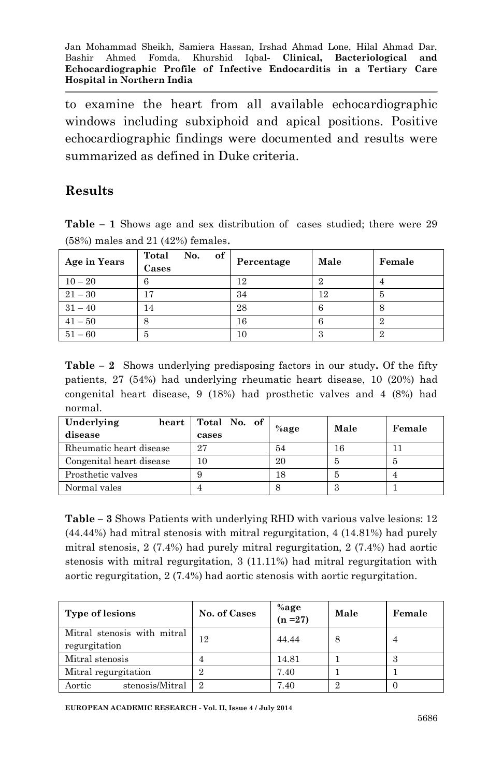to examine the heart from all available echocardiographic windows including subxiphoid and apical positions. Positive echocardiographic findings were documented and results were summarized as defined in Duke criteria.

### **Results**

**Table – 1** Shows age and sex distribution of cases studied; there were 29 (58%) males and 21 (42%) females.

| Age in Years | of<br>Total<br>No.<br>Cases | Percentage | Male | Female |
|--------------|-----------------------------|------------|------|--------|
| $10 - 20$    |                             | 12         |      |        |
| $21 - 30$    | 17                          | 34         | 12   | 5      |
| $31 - 40$    |                             | 28         |      | 8      |
| $41 - 50$    |                             | 16         |      | 2      |
| $51 - 60$    | 5                           | 10         | .,   | 2      |

**Table – 2** Shows underlying predisposing factors in our study**.** Of the fifty patients, 27 (54%) had underlying rheumatic heart disease, 10 (20%) had congenital heart disease, 9 (18%) had prosthetic valves and 4 (8%) had normal.

| Underlying<br>heart      | Total No. of | $%$ age | Male | Female |
|--------------------------|--------------|---------|------|--------|
| disease                  | cases        |         |      |        |
| Rheumatic heart disease  | 27           | 54      | 16   |        |
| Congenital heart disease | 10           | 20      | Ð    | Ð      |
| Prosthetic valves        |              | 18      |      |        |
| Normal vales             |              |         |      |        |

**Table – 3** Shows Patients with underlying RHD with various valve lesions: 12 (44.44%) had mitral stenosis with mitral regurgitation, 4 (14.81%) had purely mitral stenosis, 2 (7.4%) had purely mitral regurgitation, 2 (7.4%) had aortic stenosis with mitral regurgitation, 3 (11.11%) had mitral regurgitation with aortic regurgitation, 2 (7.4%) had aortic stenosis with aortic regurgitation.

| <b>Type of lesions</b>                       | No. of Cases | %age<br>( $n = 27$ ) | Male | Female |
|----------------------------------------------|--------------|----------------------|------|--------|
| Mitral stenosis with mitral<br>regurgitation | 12           | 44.44                |      |        |
| Mitral stenosis                              |              | 14.81                |      |        |
| Mitral regurgitation                         |              | 7.40                 |      |        |
| Aortic<br>stenosis/Mitral                    | 9.           | 7.40                 |      |        |

**EUROPEAN ACADEMIC RESEARCH - Vol. II, Issue 4 / July 2014**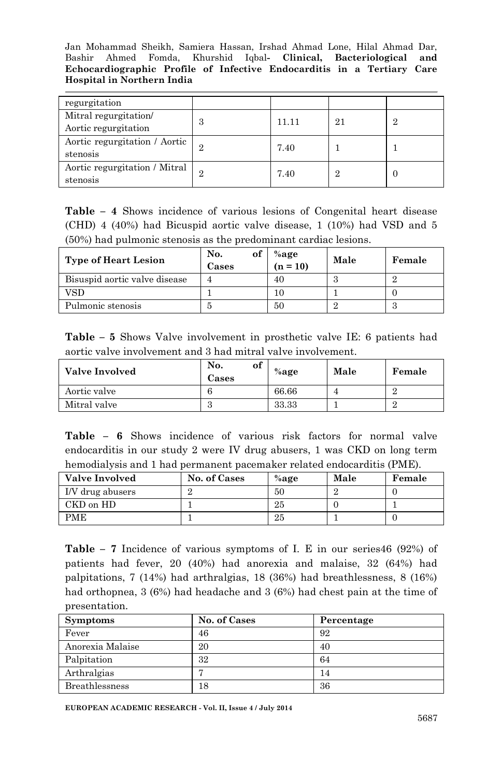| regurgitation                 |                |       |    |   |
|-------------------------------|----------------|-------|----|---|
| Mitral regurgitation/         | З              | 11.11 | 21 | 9 |
| Aortic regurgitation          |                |       |    |   |
| Aortic regurgitation / Aortic | 2              | 7.40  |    |   |
| stenosis                      |                |       |    |   |
| Aortic regurgitation / Mitral | $\overline{2}$ | 7.40  | റ  |   |
| stenosis                      |                |       |    |   |

**Table – 4** Shows incidence of various lesions of Congenital heart disease (CHD) 4 (40%) had Bicuspid aortic valve disease, 1 (10%) had VSD and 5 (50%) had pulmonic stenosis as the predominant cardiac lesions.

| <b>Type of Heart Lesion</b>   | of<br>No.<br>Cases | $%$ age<br>$(n = 10)$ | Male | Female |
|-------------------------------|--------------------|-----------------------|------|--------|
| Bisuspid aortic valve disease |                    | 40                    |      |        |
| VSD                           |                    |                       |      |        |
| Pulmonic stenosis             |                    | 50                    |      |        |

**Table – 5** Shows Valve involvement in prosthetic valve IE: 6 patients had aortic valve involvement and 3 had mitral valve involvement.

| <b>Valve Involved</b> | of<br>No.<br>Cases | $%$ age | Male | Female |
|-----------------------|--------------------|---------|------|--------|
| Aortic valve          |                    | 66.66   |      |        |
| Mitral valve          |                    | 33.33   |      |        |

|  |  | <b>Table – 6</b> Shows incidence of various risk factors for normal valve |  |  |  |  |
|--|--|---------------------------------------------------------------------------|--|--|--|--|
|  |  | endocarditis in our study 2 were IV drug abusers, 1 was CKD on long term  |  |  |  |  |
|  |  | hemodialysis and 1 had permanent pacemaker related endocarditis (PME).    |  |  |  |  |

| <b>Valve Involved</b> | No. of Cases | $%$ age | Male | Female |
|-----------------------|--------------|---------|------|--------|
| I/V drug abusers      |              | 50      |      |        |
| CKD on HD             |              | 25      |      |        |
| PME                   |              | 25      |      |        |

**Table – 7** Incidence of various symptoms of I. E in our series46 (92%) of patients had fever, 20 (40%) had anorexia and malaise, 32 (64%) had palpitations, 7 (14%) had arthralgias, 18 (36%) had breathlessness, 8 (16%) had orthopnea, 3 (6%) had headache and 3 (6%) had chest pain at the time of presentation.

| <b>Symptoms</b>  | No. of Cases | Percentage |
|------------------|--------------|------------|
| Fever            | 46           | 92         |
| Anorexia Malaise | 20           | 40         |
| Palpitation      | 32           | 64         |
| Arthralgias      |              | 14         |
| Breathlessness   | 18           | 36         |

**EUROPEAN ACADEMIC RESEARCH - Vol. II, Issue 4 / July 2014**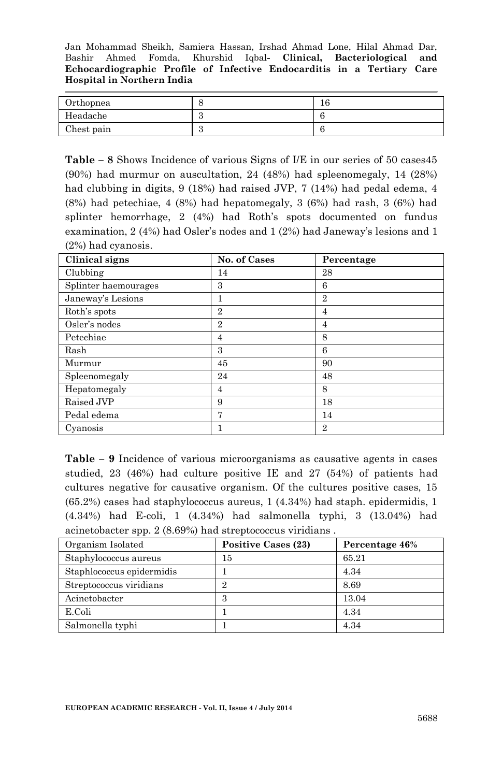| Orthopnea  | $\sqrt{2}$<br>ΙU |
|------------|------------------|
| Headache   |                  |
| Chest pain |                  |

**Table – 8** Shows Incidence of various Signs of I/E in our series of 50 cases45 (90%) had murmur on auscultation, 24 (48%) had spleenomegaly, 14 (28%) had clubbing in digits, 9 (18%) had raised JVP, 7 (14%) had pedal edema, 4 (8%) had petechiae, 4 (8%) had hepatomegaly, 3 (6%) had rash, 3 (6%) had splinter hemorrhage, 2 (4%) had Roth's spots documented on fundus examination, 2 (4%) had Osler's nodes and 1 (2%) had Janeway's lesions and 1 (2%) had cyanosis.

| Clinical signs       | No. of Cases   | Percentage     |
|----------------------|----------------|----------------|
| Clubbing             | 14             | 28             |
| Splinter haemourages | 3              | 6              |
| Janeway's Lesions    | 1              | $\overline{2}$ |
| Roth's spots         | $\overline{2}$ | 4              |
| Osler's nodes        | $\overline{2}$ | 4              |
| Petechiae            | 4              | 8              |
| Rash                 | 3              | 6              |
| Murmur               | 45             | 90             |
| Spleenomegaly        | 24             | 48             |
| Hepatomegaly         | 4              | 8              |
| Raised JVP           | 9              | 18             |
| Pedal edema          | 7              | 14             |
| Cyanosis             |                | $\overline{2}$ |

**Table – 9** Incidence of various microorganisms as causative agents in cases studied, 23 (46%) had culture positive IE and 27 (54%) of patients had cultures negative for causative organism. Of the cultures positive cases, 15 (65.2%) cases had staphylococcus aureus, 1 (4.34%) had staph. epidermidis, 1 (4.34%) had E-coli, 1 (4.34%) had salmonella typhi, 3 (13.04%) had acinetobacter spp. 2 (8.69%) had streptococcus viridians .

| Organism Isolated         | <b>Positive Cases (23)</b> | Percentage 46% |
|---------------------------|----------------------------|----------------|
| Staphylococcus aureus     | 15                         | 65.21          |
| Staphlococcus epidermidis |                            | 4.34           |
| Streptococcus viridians   | ິ                          | 8.69           |
| Acinetobacter             | 3                          | 13.04          |
| E.Coli                    |                            | 4.34           |
| Salmonella typhi          |                            | 4.34           |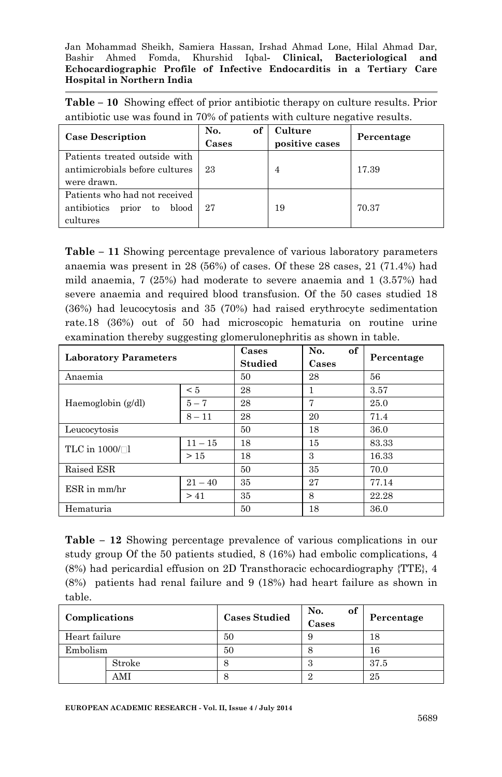**Table – 10** Showing effect of prior antibiotic therapy on culture results. Prior antibiotic use was found in 70% of patients with culture negative results.

| <b>Case Description</b>                                                         | No.<br>of<br>Cases | Culture<br>positive cases | Percentage |
|---------------------------------------------------------------------------------|--------------------|---------------------------|------------|
| Patients treated outside with<br>antimicrobials before cultures<br>were drawn.  | 23                 | 4                         | 17.39      |
| Patients who had not received<br>prior to<br>antibiotics<br>blood  <br>cultures | 27                 | 19                        | 70.37      |

**Table – 11** Showing percentage prevalence of various laboratory parameters anaemia was present in 28 (56%) of cases. Of these 28 cases, 21 (71.4%) had mild anaemia, 7 (25%) had moderate to severe anaemia and 1 (3.57%) had severe anaemia and required blood transfusion. Of the 50 cases studied 18 (36%) had leucocytosis and 35 (70%) had raised erythrocyte sedimentation rate.18 (36%) out of 50 had microscopic hematuria on routine urine examination thereby suggesting glomerulonephritis as shown in table.

| <b>Laboratory Parameters</b> |           | Cases<br><b>Studied</b> | of<br>No.<br>Cases | Percentage |
|------------------------------|-----------|-------------------------|--------------------|------------|
| Anaemia                      |           | 50                      | 28                 | 56         |
|                              | < 5       | 28                      |                    | 3.57       |
| Haemoglobin (g/dl)           | $5 - 7$   | 28                      | 7                  | 25.0       |
|                              | $8 - 11$  | 28                      | 20                 | 71.4       |
| Leucocytosis                 |           | 50                      | 18                 | 36.0       |
| TLC in $1000/\Box$           | $11 - 15$ | 18                      | 15                 | 83.33      |
|                              | >15       | 18                      | 3                  | 16.33      |
| Raised ESR                   |           | 50                      | 35                 | 70.0       |
| $ESR$ in $mm/hr$             | $21 - 40$ | 35                      | 27                 | 77.14      |
|                              | > 41      | 35                      | 8                  | 22.28      |
| Hematuria                    |           | 50                      | 18                 | 36.0       |

**Table – 12** Showing percentage prevalence of various complications in our study group Of the 50 patients studied, 8 (16%) had embolic complications, 4 (8%) had pericardial effusion on 2D Transthoracic echocardiography {TTE}, 4 (8%) patients had renal failure and 9 (18%) had heart failure as shown in table.

| Complications |        | <b>Cases Studied</b> | No.<br>of<br>Cases | Percentage |
|---------------|--------|----------------------|--------------------|------------|
| Heart failure |        | 50                   |                    | 18         |
| Embolism      |        | 50                   |                    | 16         |
|               | Stroke | O                    | $\cdot$ )          | 37.5       |
|               | AMI    | ŏ                    |                    | 25         |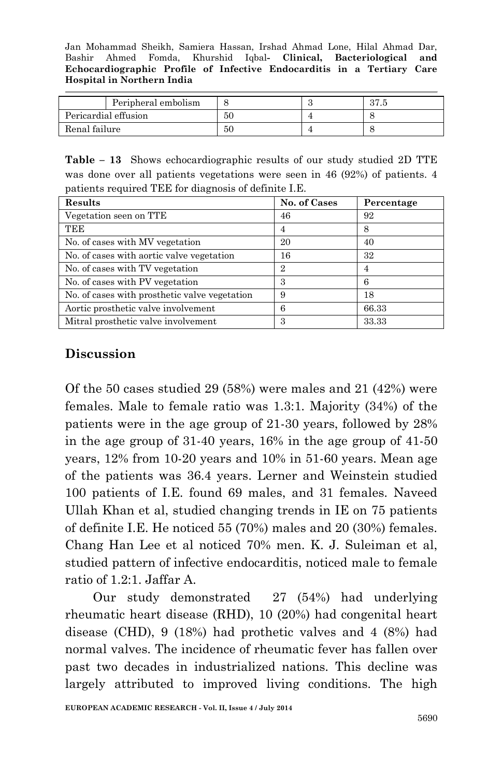|               | Peripheral embolism  |    | 07<br>ن ، ا ت |
|---------------|----------------------|----|---------------|
|               | Pericardial effusion | 50 |               |
| Renal failure |                      | 50 |               |

**Table – 13** Shows echocardiographic results of our study studied 2D TTE was done over all patients vegetations were seen in 46 (92%) of patients. 4 patients required TEE for diagnosis of definite I.E.

| Results                                       | No. of Cases   | Percentage |
|-----------------------------------------------|----------------|------------|
| Vegetation seen on TTE                        | 46             | 92         |
| TEE                                           | 4              | 8          |
| No. of cases with MV vegetation               | 20             | 40         |
| No. of cases with a ortic valve vegetation    | 16             | 32         |
| No. of cases with TV vegetation               | $\overline{2}$ | 4          |
| No. of cases with PV vegetation               | З              | 6          |
| No. of cases with prosthetic valve vegetation | 9              | 18         |
| Aortic prosthetic valve involvement           | 6              | 66.33      |
| Mitral prosthetic valve involvement           | 3              | 33.33      |

### **Discussion**

Of the 50 cases studied 29 (58%) were males and 21 (42%) were females. Male to female ratio was 1.3:1. Majority (34%) of the patients were in the age group of 21-30 years, followed by 28% in the age group of 31-40 years, 16% in the age group of 41-50 years, 12% from 10-20 years and 10% in 51-60 years. Mean age of the patients was 36.4 years. Lerner and Weinstein studied 100 patients of I.E. found 69 males, and 31 females. Naveed Ullah Khan et al, studied changing trends in IE on 75 patients of definite I.E. He noticed 55 (70%) males and 20 (30%) females. Chang Han Lee et al noticed 70% men. K. J. Suleiman et al, studied pattern of infective endocarditis, noticed male to female ratio of 1.2:1. Jaffar A.

 Our study demonstrated 27 (54%) had underlying rheumatic heart disease (RHD), 10 (20%) had congenital heart disease (CHD), 9 (18%) had prothetic valves and 4 (8%) had normal valves. The incidence of rheumatic fever has fallen over past two decades in industrialized nations. This decline was largely attributed to improved living conditions. The high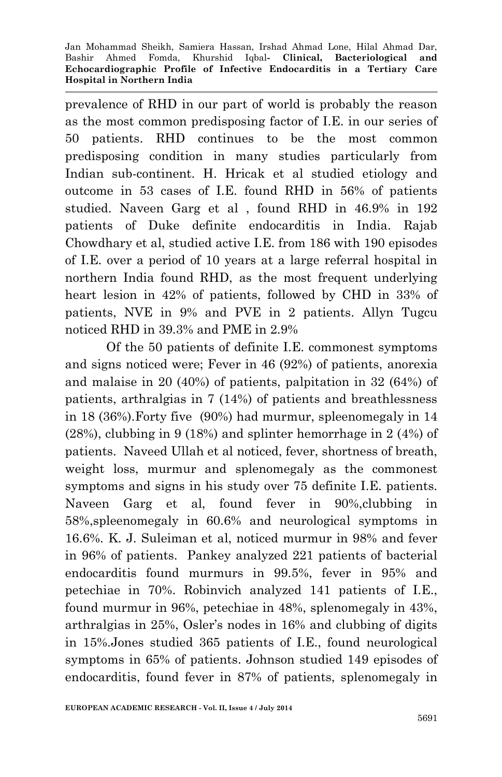prevalence of RHD in our part of world is probably the reason as the most common predisposing factor of I.E. in our series of 50 patients. RHD continues to be the most common predisposing condition in many studies particularly from Indian sub-continent. H. Hricak et al studied etiology and outcome in 53 cases of I.E. found RHD in 56% of patients studied. Naveen Garg et al , found RHD in 46.9% in 192 patients of Duke definite endocarditis in India. Rajab Chowdhary et al, studied active I.E. from 186 with 190 episodes of I.E. over a period of 10 years at a large referral hospital in northern India found RHD, as the most frequent underlying heart lesion in 42% of patients, followed by CHD in 33% of patients, NVE in 9% and PVE in 2 patients. Allyn Tugcu noticed RHD in 39.3% and PME in 2.9%

 Of the 50 patients of definite I.E. commonest symptoms and signs noticed were; Fever in 46 (92%) of patients, anorexia and malaise in 20 (40%) of patients, palpitation in 32 (64%) of patients, arthralgias in 7 (14%) of patients and breathlessness in 18 (36%).Forty five (90%) had murmur, spleenomegaly in 14 (28%), clubbing in 9 (18%) and splinter hemorrhage in 2 (4%) of patients. Naveed Ullah et al noticed, fever, shortness of breath, weight loss, murmur and splenomegaly as the commonest symptoms and signs in his study over 75 definite I.E. patients. Naveen Garg et al, found fever in 90%,clubbing in 58%,spleenomegaly in 60.6% and neurological symptoms in 16.6%. K. J. Suleiman et al, noticed murmur in 98% and fever in 96% of patients. Pankey analyzed 221 patients of bacterial endocarditis found murmurs in 99.5%, fever in 95% and petechiae in 70%. Robinvich analyzed 141 patients of I.E., found murmur in 96%, petechiae in 48%, splenomegaly in 43%, arthralgias in 25%, Osler's nodes in 16% and clubbing of digits in 15%.Jones studied 365 patients of I.E., found neurological symptoms in 65% of patients. Johnson studied 149 episodes of endocarditis, found fever in 87% of patients, splenomegaly in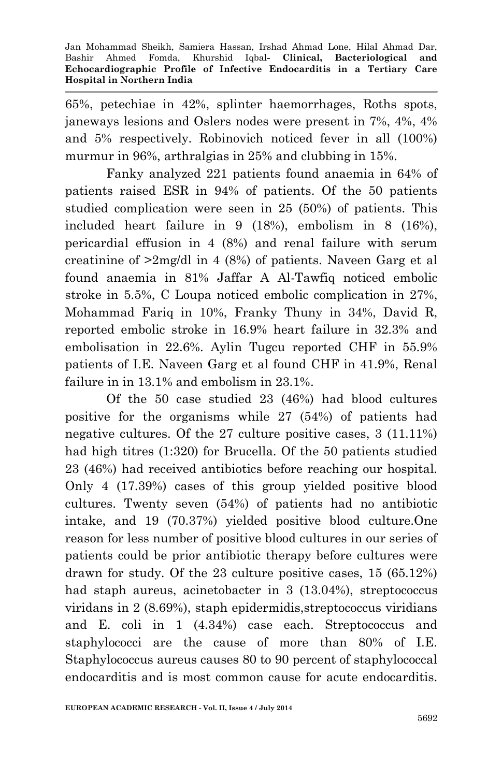65%, petechiae in 42%, splinter haemorrhages, Roths spots, janeways lesions and Oslers nodes were present in 7%, 4%, 4% and 5% respectively. Robinovich noticed fever in all (100%) murmur in 96%, arthralgias in 25% and clubbing in 15%.

 Fanky analyzed 221 patients found anaemia in 64% of patients raised ESR in 94% of patients. Of the 50 patients studied complication were seen in 25 (50%) of patients. This included heart failure in 9 (18%), embolism in 8 (16%), pericardial effusion in 4 (8%) and renal failure with serum creatinine of >2mg/dl in 4 (8%) of patients. Naveen Garg et al found anaemia in 81% Jaffar A Al-Tawfiq noticed embolic stroke in 5.5%, C Loupa noticed embolic complication in 27%, Mohammad Fariq in 10%, Franky Thuny in 34%, David R, reported embolic stroke in 16.9% heart failure in 32.3% and embolisation in 22.6%. Aylin Tugcu reported CHF in 55.9% patients of I.E. Naveen Garg et al found CHF in 41.9%, Renal failure in in 13.1% and embolism in 23.1%.

Of the 50 case studied 23 (46%) had blood cultures positive for the organisms while 27 (54%) of patients had negative cultures. Of the 27 culture positive cases, 3 (11.11%) had high titres (1:320) for Brucella. Of the 50 patients studied 23 (46%) had received antibiotics before reaching our hospital. Only 4 (17.39%) cases of this group yielded positive blood cultures. Twenty seven (54%) of patients had no antibiotic intake, and 19 (70.37%) yielded positive blood culture.One reason for less number of positive blood cultures in our series of patients could be prior antibiotic therapy before cultures were drawn for study. Of the 23 culture positive cases, 15 (65.12%) had staph aureus, acinetobacter in 3 (13.04%), streptococcus viridans in 2 (8.69%), staph epidermidis,streptococcus viridians and E. coli in 1 (4.34%) case each. Streptococcus and staphylococci are the cause of more than 80% of I.E. Staphylococcus aureus causes 80 to 90 percent of staphylococcal endocarditis and is most common cause for acute endocarditis.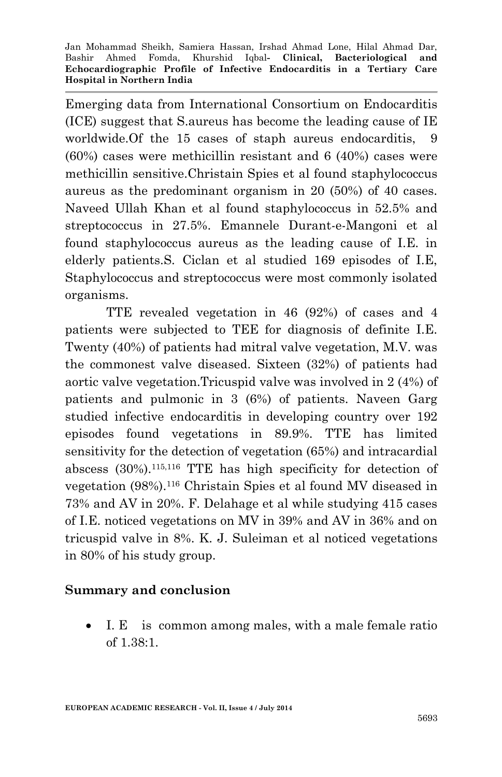Emerging data from International Consortium on Endocarditis (ICE) suggest that S.aureus has become the leading cause of IE worldwide.Of the 15 cases of staph aureus endocarditis, 9 (60%) cases were methicillin resistant and 6 (40%) cases were methicillin sensitive.Christain Spies et al found staphylococcus aureus as the predominant organism in 20 (50%) of 40 cases. Naveed Ullah Khan et al found staphylococcus in 52.5% and streptococcus in 27.5%. Emannele Durant-e-Mangoni et al found staphylococcus aureus as the leading cause of I.E. in elderly patients.S. Ciclan et al studied 169 episodes of I.E, Staphylococcus and streptococcus were most commonly isolated organisms.

TTE revealed vegetation in 46 (92%) of cases and 4 patients were subjected to TEE for diagnosis of definite I.E. Twenty (40%) of patients had mitral valve vegetation, M.V. was the commonest valve diseased. Sixteen (32%) of patients had aortic valve vegetation.Tricuspid valve was involved in 2 (4%) of patients and pulmonic in 3 (6%) of patients. Naveen Garg studied infective endocarditis in developing country over 192 episodes found vegetations in 89.9%. TTE has limited sensitivity for the detection of vegetation (65%) and intracardial abscess (30%).115,116 TTE has high specificity for detection of vegetation (98%).<sup>116</sup> Christain Spies et al found MV diseased in 73% and AV in 20%. F. Delahage et al while studying 415 cases of I.E. noticed vegetations on MV in 39% and AV in 36% and on tricuspid valve in 8%. K. J. Suleiman et al noticed vegetations in 80% of his study group.

### **Summary and conclusion**

 I. E is common among males, with a male female ratio of 1.38:1.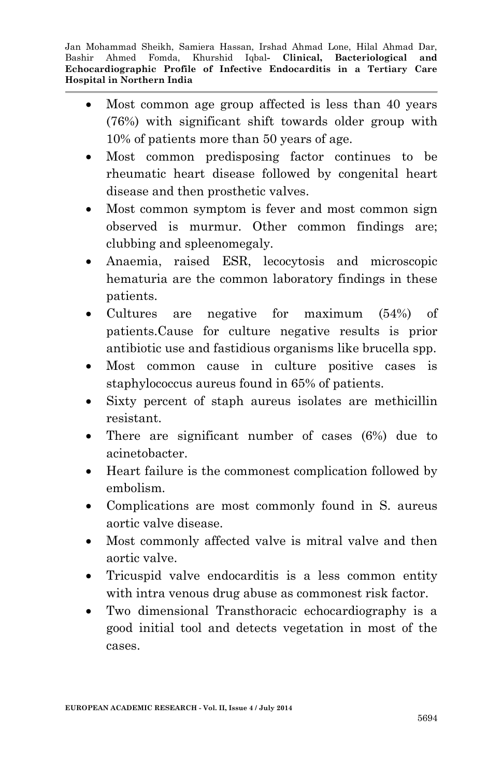- Most common age group affected is less than 40 years (76%) with significant shift towards older group with 10% of patients more than 50 years of age.
- Most common predisposing factor continues to be rheumatic heart disease followed by congenital heart disease and then prosthetic valves.
- Most common symptom is fever and most common sign observed is murmur. Other common findings are; clubbing and spleenomegaly.
- Anaemia, raised ESR, lecocytosis and microscopic hematuria are the common laboratory findings in these patients.
- Cultures are negative for maximum (54%) of patients.Cause for culture negative results is prior antibiotic use and fastidious organisms like brucella spp.
- Most common cause in culture positive cases is staphylococcus aureus found in 65% of patients.
- Sixty percent of staph aureus isolates are methicillin resistant.
- There are significant number of cases (6%) due to acinetobacter.
- Heart failure is the commonest complication followed by embolism.
- Complications are most commonly found in S. aureus aortic valve disease.
- Most commonly affected valve is mitral valve and then aortic valve.
- Tricuspid valve endocarditis is a less common entity with intra venous drug abuse as commonest risk factor.
- Two dimensional Transthoracic echocardiography is a good initial tool and detects vegetation in most of the cases.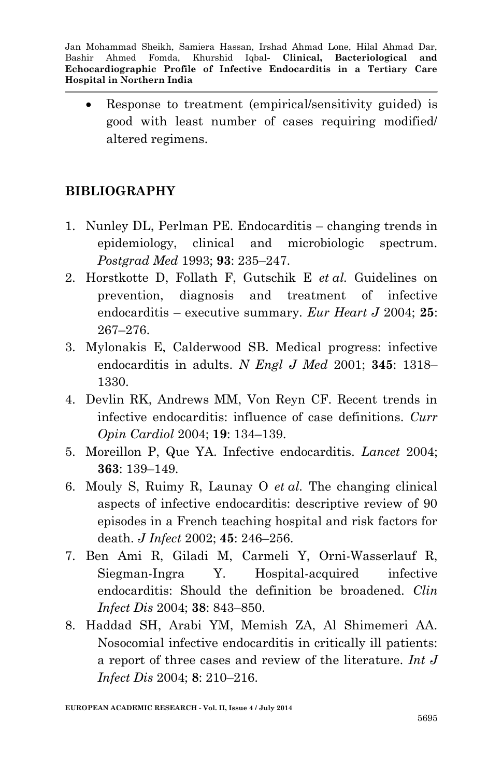Response to treatment (empirical/sensitivity guided) is good with least number of cases requiring modified/ altered regimens.

# **BIBLIOGRAPHY**

- 1. Nunley DL, Perlman PE. Endocarditis changing trends in epidemiology, clinical and microbiologic spectrum. *Postgrad Med* 1993; **93**: 235–247.
- 2. Horstkotte D, Follath F, Gutschik E *et al.* Guidelines on prevention, diagnosis and treatment of infective endocarditis – executive summary. *Eur Heart J* 2004; **25**: 267–276.
- 3. Mylonakis E, Calderwood SB. Medical progress: infective endocarditis in adults. *N Engl J Med* 2001; **345**: 1318– 1330.
- 4. Devlin RK, Andrews MM, Von Reyn CF. Recent trends in infective endocarditis: influence of case definitions. *Curr Opin Cardiol* 2004; **19**: 134–139.
- 5. Moreillon P, Que YA. Infective endocarditis. *Lancet* 2004; **363**: 139–149.
- 6. Mouly S, Ruimy R, Launay O *et al.* The changing clinical aspects of infective endocarditis: descriptive review of 90 episodes in a French teaching hospital and risk factors for death. *J Infect* 2002; **45**: 246–256.
- 7. Ben Ami R, Giladi M, Carmeli Y, Orni-Wasserlauf R, Siegman-Ingra Y. Hospital-acquired infective endocarditis: Should the definition be broadened. *Clin Infect Dis* 2004; **38**: 843–850.
- 8. Haddad SH, Arabi YM, Memish ZA, Al Shimemeri AA. Nosocomial infective endocarditis in critically ill patients: a report of three cases and review of the literature. *Int J Infect Dis* 2004; **8**: 210–216.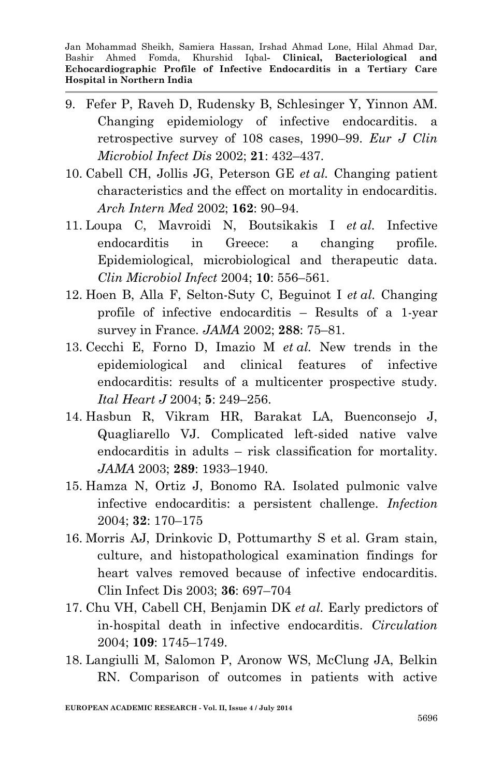- 9. Fefer P, Raveh D, Rudensky B, Schlesinger Y, Yinnon AM. Changing epidemiology of infective endocarditis. a retrospective survey of 108 cases, 1990–99. *Eur J Clin Microbiol Infect Dis* 2002; **21**: 432–437.
- 10. Cabell CH, Jollis JG, Peterson GE *et al.* Changing patient characteristics and the effect on mortality in endocarditis. *Arch Intern Med* 2002; **162**: 90–94.
- 11. Loupa C, Mavroidi N, Boutsikakis I *et al.* Infective endocarditis in Greece: a changing profile. Epidemiological, microbiological and therapeutic data. *Clin Microbiol Infect* 2004; **10**: 556–561.
- 12. Hoen B, Alla F, Selton-Suty C, Beguinot I *et al.* Changing profile of infective endocarditis – Results of a 1-year survey in France. *JAMA* 2002; **288**: 75–81.
- 13. Cecchi E, Forno D, Imazio M *et al.* New trends in the epidemiological and clinical features of infective endocarditis: results of a multicenter prospective study. *Ital Heart J* 2004; **5**: 249–256.
- 14. Hasbun R, Vikram HR, Barakat LA, Buenconsejo J, Quagliarello VJ. Complicated left-sided native valve endocarditis in adults – risk classification for mortality. *JAMA* 2003; **289**: 1933–1940.
- 15. Hamza N, Ortiz J, Bonomo RA. Isolated pulmonic valve infective endocarditis: a persistent challenge. *Infection* 2004; **32**: 170–175
- 16. Morris AJ, Drinkovic D, Pottumarthy S et al. Gram stain, culture, and histopathological examination findings for heart valves removed because of infective endocarditis. Clin Infect Dis 2003; **36**: 697–704
- 17. Chu VH, Cabell CH, Benjamin DK *et al.* Early predictors of in-hospital death in infective endocarditis. *Circulation* 2004; **109**: 1745–1749.
- 18. Langiulli M, Salomon P, Aronow WS, McClung JA, Belkin RN. Comparison of outcomes in patients with active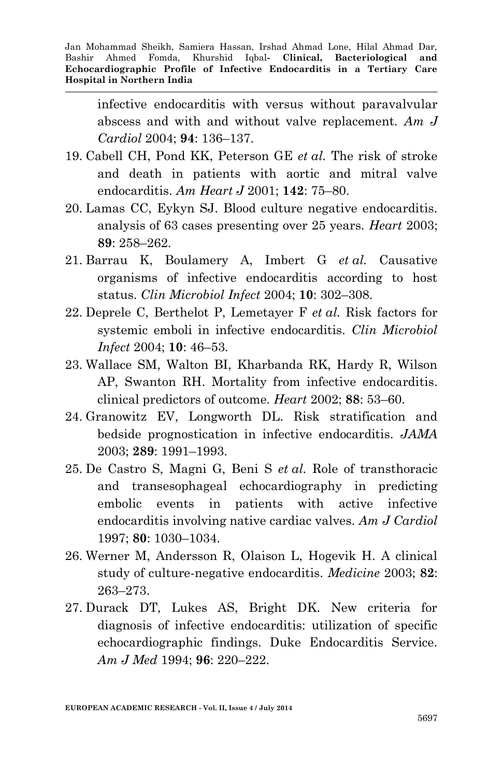infective endocarditis with versus without paravalvular abscess and with and without valve replacement. *Am J Cardiol* 2004; **94**: 136–137.

- 19. Cabell CH, Pond KK, Peterson GE *et al.* The risk of stroke and death in patients with aortic and mitral valve endocarditis. *Am Heart J* 2001; **142**: 75–80.
- 20. Lamas CC, Eykyn SJ. Blood culture negative endocarditis. analysis of 63 cases presenting over 25 years. *Heart* 2003; **89**: 258–262.
- 21. Barrau K, Boulamery A, Imbert G *et al.* Causative organisms of infective endocarditis according to host status. *Clin Microbiol Infect* 2004; **10**: 302–308.
- 22. Deprele C, Berthelot P, Lemetayer F *et al.* Risk factors for systemic emboli in infective endocarditis. *Clin Microbiol Infect* 2004; **10**: 46–53.
- 23. Wallace SM, Walton BI, Kharbanda RK, Hardy R, Wilson AP, Swanton RH. Mortality from infective endocarditis. clinical predictors of outcome. *Heart* 2002; **88**: 53–60.
- 24. Granowitz EV, Longworth DL. Risk stratification and bedside prognostication in infective endocarditis. *JAMA* 2003; **289**: 1991–1993.
- 25. De Castro S, Magni G, Beni S *et al.* Role of transthoracic and transesophageal echocardiography in predicting embolic events in patients with active infective endocarditis involving native cardiac valves. *Am J Cardiol* 1997; **80**: 1030–1034.
- 26. Werner M, Andersson R, Olaison L, Hogevik H. A clinical study of culture-negative endocarditis. *Medicine* 2003; **82**: 263–273.
- 27. Durack DT, Lukes AS, Bright DK. New criteria for diagnosis of infective endocarditis: utilization of specific echocardiographic findings. Duke Endocarditis Service. *Am J Med* 1994; **96**: 220–222.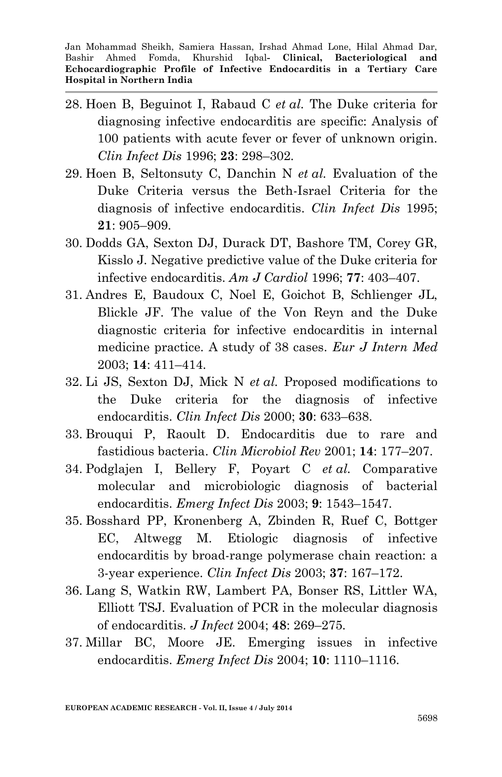- 28. Hoen B, Beguinot I, Rabaud C *et al.* The Duke criteria for diagnosing infective endocarditis are specific: Analysis of 100 patients with acute fever or fever of unknown origin. *Clin Infect Dis* 1996; **23**: 298–302.
- 29. Hoen B, Seltonsuty C, Danchin N *et al.* Evaluation of the Duke Criteria versus the Beth-Israel Criteria for the diagnosis of infective endocarditis. *Clin Infect Dis* 1995; **21**: 905–909.
- 30. Dodds GA, Sexton DJ, Durack DT, Bashore TM, Corey GR, Kisslo J. Negative predictive value of the Duke criteria for infective endocarditis. *Am J Cardiol* 1996; **77**: 403–407.
- 31. Andres E, Baudoux C, Noel E, Goichot B, Schlienger JL, Blickle JF. The value of the Von Reyn and the Duke diagnostic criteria for infective endocarditis in internal medicine practice. A study of 38 cases. *Eur J Intern Med* 2003; **14**: 411–414.
- 32. Li JS, Sexton DJ, Mick N *et al.* Proposed modifications to the Duke criteria for the diagnosis of infective endocarditis. *Clin Infect Dis* 2000; **30**: 633–638.
- 33. Brouqui P, Raoult D. Endocarditis due to rare and fastidious bacteria. *Clin Microbiol Rev* 2001; **14**: 177–207.
- 34. Podglajen I, Bellery F, Poyart C *et al.* Comparative molecular and microbiologic diagnosis of bacterial endocarditis. *Emerg Infect Dis* 2003; **9**: 1543–1547.
- 35. Bosshard PP, Kronenberg A, Zbinden R, Ruef C, Bottger EC, Altwegg M. Etiologic diagnosis of infective endocarditis by broad-range polymerase chain reaction: a 3-year experience. *Clin Infect Dis* 2003; **37**: 167–172.
- 36. Lang S, Watkin RW, Lambert PA, Bonser RS, Littler WA, Elliott TSJ. Evaluation of PCR in the molecular diagnosis of endocarditis. *J Infect* 2004; **48**: 269–275.
- 37. Millar BC, Moore JE. Emerging issues in infective endocarditis. *Emerg Infect Dis* 2004; **10**: 1110–1116.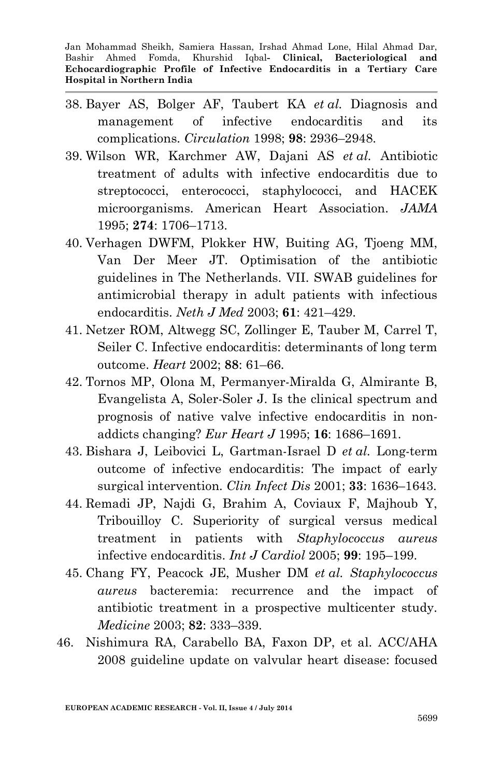- 38. Bayer AS, Bolger AF, Taubert KA *et al.* Diagnosis and management of infective endocarditis and its complications. *Circulation* 1998; **98**: 2936–2948.
- 39. Wilson WR, Karchmer AW, Dajani AS *et al.* Antibiotic treatment of adults with infective endocarditis due to streptococci, enterococci, staphylococci, and HACEK microorganisms. American Heart Association. *JAMA* 1995; **274**: 1706–1713.
- 40. Verhagen DWFM, Plokker HW, Buiting AG, Tjoeng MM, Van Der Meer JT. Optimisation of the antibiotic guidelines in The Netherlands. VII. SWAB guidelines for antimicrobial therapy in adult patients with infectious endocarditis. *Neth J Med* 2003; **61**: 421–429.
- 41. Netzer ROM, Altwegg SC, Zollinger E, Tauber M, Carrel T, Seiler C. Infective endocarditis: determinants of long term outcome. *Heart* 2002; **88**: 61–66.
- 42. Tornos MP, Olona M, Permanyer-Miralda G, Almirante B, Evangelista A, Soler-Soler J. Is the clinical spectrum and prognosis of native valve infective endocarditis in nonaddicts changing? *Eur Heart J* 1995; **16**: 1686–1691.
- 43. Bishara J, Leibovici L, Gartman-Israel D *et al.* Long-term outcome of infective endocarditis: The impact of early surgical intervention. *Clin Infect Dis* 2001; **33**: 1636–1643.
- 44. Remadi JP, Najdi G, Brahim A, Coviaux F, Majhoub Y, Tribouilloy C. Superiority of surgical versus medical treatment in patients with *Staphylococcus aureus* infective endocarditis. *Int J Cardiol* 2005; **99**: 195–199.
- 45. Chang FY, Peacock JE, Musher DM *et al. Staphylococcus aureus* bacteremia: recurrence and the impact of antibiotic treatment in a prospective multicenter study. *Medicine* 2003; **82**: 333–339.
- 46. Nishimura RA, Carabello BA, Faxon DP, et al. ACC/AHA 2008 guideline update on valvular heart disease: focused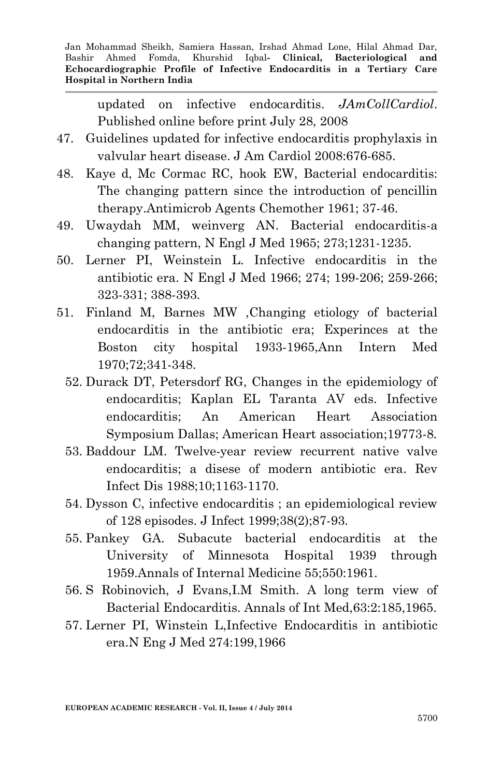updated on infective endocarditis. *JAmCollCardiol*. Published online before print July 28, 2008

- 47. Guidelines updated for infective endocarditis prophylaxis in valvular heart disease. J Am Cardiol 2008:676-685.
- 48. Kaye d, Mc Cormac RC, hook EW, Bacterial endocarditis: The changing pattern since the introduction of pencillin therapy.Antimicrob Agents Chemother 1961; 37-46.
- 49. Uwaydah MM, weinverg AN. Bacterial endocarditis-a changing pattern, N Engl J Med 1965; 273;1231-1235.
- 50. Lerner PI, Weinstein L. Infective endocarditis in the antibiotic era. N Engl J Med 1966; 274; 199-206; 259-266; 323-331; 388-393.
- 51. Finland M, Barnes MW ,Changing etiology of bacterial endocarditis in the antibiotic era; Experinces at the Boston city hospital 1933-1965,Ann Intern Med 1970;72;341-348.
	- 52. Durack DT, Petersdorf RG, Changes in the epidemiology of endocarditis; Kaplan EL Taranta AV eds. Infective endocarditis; An American Heart Association Symposium Dallas; American Heart association;19773-8.
	- 53. Baddour LM. Twelve-year review recurrent native valve endocarditis; a disese of modern antibiotic era. Rev Infect Dis 1988;10;1163-1170.
	- 54. Dysson C, infective endocarditis ; an epidemiological review of 128 episodes. J Infect 1999;38(2);87-93.
	- 55. Pankey GA. Subacute bacterial endocarditis at the University of Minnesota Hospital 1939 through 1959.Annals of Internal Medicine 55;550:1961.
	- 56. S Robinovich, J Evans,I.M Smith. A long term view of Bacterial Endocarditis. Annals of Int Med,63:2:185,1965.
	- 57. Lerner PI, Winstein L,Infective Endocarditis in antibiotic era.N Eng J Med 274:199,1966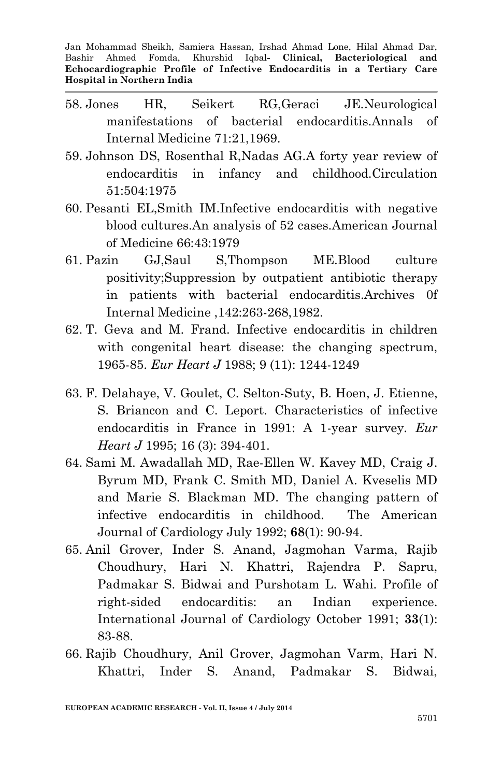- 58. Jones HR, Seikert RG,Geraci JE.Neurological manifestations of bacterial endocarditis.Annals of Internal Medicine 71:21,1969.
- 59. Johnson DS, Rosenthal R,Nadas AG.A forty year review of endocarditis in infancy and childhood.Circulation 51:504:1975
- 60. Pesanti EL,Smith IM.Infective endocarditis with negative blood cultures.An analysis of 52 cases.American Journal of Medicine 66:43:1979
- 61. Pazin GJ,Saul S,Thompson ME.Blood culture positivity;Suppression by outpatient antibiotic therapy in patients with bacterial endocarditis.Archives 0f Internal Medicine ,142:263-268,1982.
- 62. T. Geva and [M. Frand.](http://eurheartj.oxfordjournals.org/search?author1=M.+FRAND&sortspec=date&submit=Submit) Infective endocarditis in children with congenital heart disease: the changing spectrum, 1965-85. *Eur Heart J* 1988; 9 (11): 1244-1249
- 63. F. Delahaye, V. Goulet, [C. Selton-Suty,](http://eurheartj.oxfordjournals.org/search?author1=C.+SELTON-SUTY&sortspec=date&submit=Submit) [B. Hoen,](http://eurheartj.oxfordjournals.org/search?author1=B.+HOEN&sortspec=date&submit=Submit) [J. Etienne,](http://eurheartj.oxfordjournals.org/search?author1=J.+ETIENNE&sortspec=date&submit=Submit) [S. Briancon and C. Leport. C](http://eurheartj.oxfordjournals.org/search?author1=S.+BRIANCON&sortspec=date&submit=Submit)haracteristics of infective endocarditis in France in 1991: A 1-year survey. *Eur Heart J* 1995; 16 (3): 394-401.
- 64. Sami M. Awadallah MD, Rae-Ellen W. Kavey MD, Craig J. Byrum MD, Frank C. Smith MD, Daniel A. Kveselis MD and Marie S. Blackman MD. The changing pattern of infective endocarditis in childhood. The American Journal of Cardiology July 1992; **68**(1): 90-94.
- 65. Anil Grover, Inder S. Anand, Jagmohan Varma, Rajib Choudhury, Hari N. Khattri, Rajendra P. Sapru, Padmakar S. Bidwai and Purshotam L. Wahi. Profile of right-sided endocarditis: an Indian experience. International Journal of Cardiology October 1991; **33**(1): 83-88.
- 66. Rajib Choudhury, Anil Grover, Jagmohan Varm, Hari N. Khattri, Inder S. Anand, Padmakar S. Bidwai,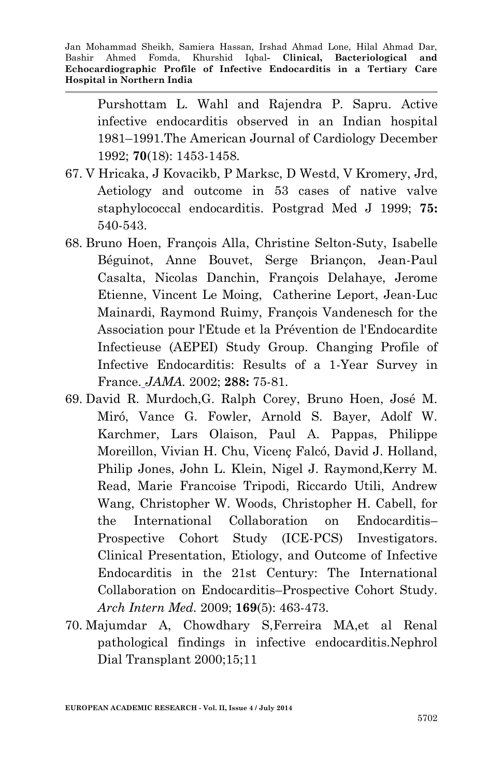Purshottam L. Wahl and Rajendra P. Sapru. Active infective endocarditis observed in an Indian hospital 1981–1991.The American Journal of Cardiology December 1992; **70**(18): 1453-1458.

- 67. [V Hricaka,](http://pmj.bmj.com/search?author1=V+Hricak&sortspec=date&submit=Submit) [J Kovacikb,](http://pmj.bmj.com/search?author1=J+Kovacik&sortspec=date&submit=Submit) [P Marksc,](http://pmj.bmj.com/search?author1=P+Marks&sortspec=date&submit=Submit) [D Westd,](http://pmj.bmj.com/search?author1=D+West&sortspec=date&submit=Submit) [V Kromery, Jrd,](http://pmj.bmj.com/search?author1=V+Kromery,+Jr&sortspec=date&submit=Submit) Aetiology and outcome in 53 cases of native valve staphylococcal endocarditis. Postgrad Med J 1999; **75:** 540-543.
- 68. Bruno Hoen, François Alla, Christine Selton-Suty, Isabelle Béguinot, Anne Bouvet, Serge Briançon, Jean-Paul Casalta, Nicolas Danchin, François Delahaye, Jerome Etienne, Vincent Le Moing, Catherine Leport, Jean-Luc Mainardi, Raymond Ruimy, François Vandenesch for the Association pour l'Etude et la Prévention de l'Endocardite Infectieuse (AEPEI) Study Group. Changing Profile of Infective Endocarditis: Results of a 1-Year Survey in France. *JAMA.* 2002; **288:** 75-81.
- 69. David R. Murdoch,G. Ralph Corey, Bruno Hoen, José M. Miró, Vance G. Fowler, Arnold S. Bayer, Adolf W. Karchmer, Lars Olaison, Paul A. Pappas, Philippe Moreillon, Vivian H. Chu, Vicenç Falcó, David J. Holland, Philip Jones, John L. Klein, Nigel J. Raymond,Kerry M. Read, Marie Francoise Tripodi, Riccardo Utili, Andrew Wang, Christopher W. Woods, Christopher H. Cabell, for the International Collaboration on Endocarditis– Prospective Cohort Study (ICE-PCS) Investigators. Clinical Presentation, Etiology, and Outcome of Infective Endocarditis in the 21st Century: The International Collaboration on Endocarditis–Prospective Cohort Study. *Arch Intern Med.* 2009; **169**(5): 463-473.
- 70. Majumdar A, Chowdhary S,Ferreira MA,et al Renal pathological findings in infective endocarditis.Nephrol Dial Transplant 2000;15;11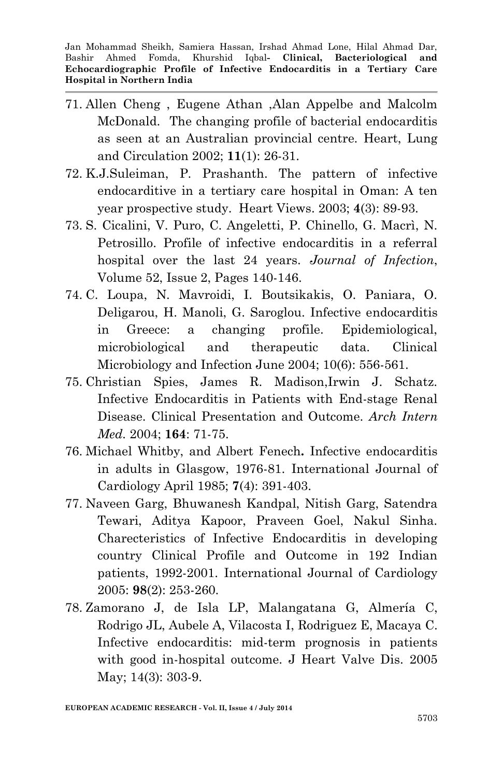- 71. Allen Cheng , Eugene Athan ,Alan Appelbe and Malcolm McDonald.The changing profile of bacterial endocarditis as seen at an Australian provincial centre. Heart, Lung and Circulation 2002; **11**(1): 26-31.
- 72. K.J.Suleiman, P. Prashanth. The pattern of infective endocarditive in a tertiary care hospital in Oman: A ten year prospective study. Heart Views. 2003; **4**(3): 89-93.
- 73. S. Cicalini, V. Puro, C. Angeletti, P. Chinello, G. Macrì, N. Petrosillo. Profile of infective endocarditis in a referral hospital over the last 24 years. *Journal of Infection*, Volume 52, Issue 2, Pages 140-146.
- 74. C. Loupa, N. Mavroidi, I. Boutsikakis, O. Paniara, O. Deligarou, H. Manoli, G. Saroglou. Infective endocarditis in Greece: a changing profile. Epidemiological, microbiological and therapeutic data. Clinical Microbiology and Infection June 2004; 10(6): 556-561.
- 75. Christian Spies, James R. Madison,Irwin J. Schatz. Infective Endocarditis in Patients with End-stage Renal Disease. Clinical Presentation and Outcome. *Arch Intern Med.* 2004; **164**: 71-75.
- 76. Michael Whitby, and Albert Fenech**.** Infective endocarditis in adults in Glasgow, 1976-81. International Journal of Cardiology April 1985; **7**(4): 391-403.
- 77. Naveen Garg, Bhuwanesh Kandpal, Nitish Garg, Satendra Tewari, Aditya Kapoor, Praveen Goel, Nakul Sinha. Charecteristics of Infective Endocarditis in developing country Clinical Profile and Outcome in 192 Indian patients, 1992-2001. International Journal of Cardiology 2005: **98**(2): 253-260.
- 78. [Zamorano J,](http://www.ncbi.nlm.nih.gov/pubmed?term=%22Zamorano%20J%22%5BAuthor%5D) [de Isla LP,](http://www.ncbi.nlm.nih.gov/pubmed?term=%22de%20Isla%20LP%22%5BAuthor%5D) [Malangatana G,](http://www.ncbi.nlm.nih.gov/pubmed?term=%22Malangatana%20G%22%5BAuthor%5D) [Almería C,](http://www.ncbi.nlm.nih.gov/pubmed?term=%22Almer%C3%ADa%20C%22%5BAuthor%5D) [Rodrigo JL,](http://www.ncbi.nlm.nih.gov/pubmed?term=%22Rodrigo%20JL%22%5BAuthor%5D) [Aubele A,](http://www.ncbi.nlm.nih.gov/pubmed?term=%22Aubele%20A%22%5BAuthor%5D) [Vilacosta I,](http://www.ncbi.nlm.nih.gov/pubmed?term=%22Vilacosta%20I%22%5BAuthor%5D) [Rodriguez E,](http://www.ncbi.nlm.nih.gov/pubmed?term=%22Rodriguez%20E%22%5BAuthor%5D) [Macaya C.](http://www.ncbi.nlm.nih.gov/pubmed?term=%22Macaya%20C%22%5BAuthor%5D) Infective endocarditis: mid-term prognosis in patients with good in-hospital outcome. [J Heart Valve Dis.](javascript:AL_get(this,%20) 2005 May; 14(3): 303-9.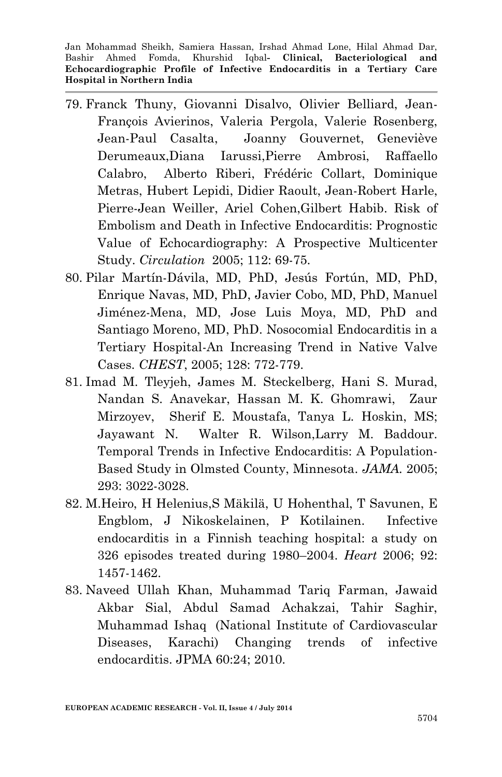- 79. Franck Thuny, Giovanni Disalvo, Olivier Belliard, Jean-François Avierinos, Valeria Pergola, Valerie Rosenberg, Jean-Paul Casalta, Joanny Gouvernet, Geneviève Derumeaux,Diana Iarussi,Pierre Ambrosi, Raffaello Calabro, Alberto Riberi, Frédéric Collart, Dominique Metras, Hubert Lepidi, Didier Raoult, Jean-Robert Harle, Pierre-Jean Weiller, Ariel Cohen,Gilbert Habib. Risk of Embolism and Death in Infective Endocarditis: Prognostic Value of Echocardiography: A Prospective Multicenter Study. *Circulation* 2005; 112: 69-75.
- 80. [Pilar Martín-Dávila,](http://chestjournal.chestpubs.org/search?author1=Pilar+Mart%C3%ADn-D%C3%A1vila&sortspec=date&submit=Submit) MD, PhD, [Jesús Fortún,](http://chestjournal.chestpubs.org/search?author1=Jes%C3%BAs+Fort%C3%BAn&sortspec=date&submit=Submit) MD, PhD, [Enrique Navas,](http://chestjournal.chestpubs.org/search?author1=Enrique+Navas&sortspec=date&submit=Submit) MD, PhD, [Javier Cobo,](http://chestjournal.chestpubs.org/search?author1=Javier+Cobo&sortspec=date&submit=Submit) MD, PhD, [Manuel](http://chestjournal.chestpubs.org/search?author1=Manuel+Jim%C3%A9nez-Mena&sortspec=date&submit=Submit)  [Jiménez-Mena,](http://chestjournal.chestpubs.org/search?author1=Manuel+Jim%C3%A9nez-Mena&sortspec=date&submit=Submit) MD, [Jose Luis Moya,](http://chestjournal.chestpubs.org/search?author1=Jose+Luis+Moya&sortspec=date&submit=Submit) MD, PhD and [Santiago Moreno,](http://chestjournal.chestpubs.org/search?author1=Santiago+Moreno&sortspec=date&submit=Submit) MD, PhD. Nosocomial Endocarditis in a Tertiary Hospital-An Increasing Trend in Native Valve Cases. *CHEST*, 2005; 128: 772-779.
- 81. Imad M. Tleyjeh, James M. Steckelberg, Hani S. Murad, Nandan S. Anavekar, Hassan M. K. Ghomrawi, Zaur Mirzoyev, Sherif E. Moustafa, Tanya L. Hoskin, MS; Jayawant N. Walter R. Wilson,Larry M. Baddour. Temporal Trends in Infective Endocarditis: A Population-Based Study in Olmsted County, Minnesota. *JAMA.* 2005; 293: 3022-3028.
- 82. M[.Heiro,](http://heart.bmj.com/search?author1=M+Heiro&sortspec=date&submit=Submit) [H Helenius,](http://heart.bmj.com/search?author1=H+Helenius&sortspec=date&submit=Submit)[S Mäkilä,](http://heart.bmj.com/search?author1=S+M%C3%A4kil%C3%A4&sortspec=date&submit=Submit) [U Hohenthal,](http://heart.bmj.com/search?author1=U+Hohenthal&sortspec=date&submit=Submit) [T Savunen,](http://heart.bmj.com/search?author1=T+Savunen&sortspec=date&submit=Submit) [E](http://heart.bmj.com/search?author1=E+Engblom&sortspec=date&submit=Submit)  [Engblom,](http://heart.bmj.com/search?author1=E+Engblom&sortspec=date&submit=Submit) [J Nikoskelainen,](http://heart.bmj.com/search?author1=J+Nikoskelainen&sortspec=date&submit=Submit) [P Kotilainen.](http://heart.bmj.com/search?author1=P+Kotilainen&sortspec=date&submit=Submit) Infective endocarditis in a Finnish teaching hospital: a study on 326 episodes treated during 1980–2004. *Heart* 2006; 92: 1457-1462.
- 83. Naveed Ullah Khan, Muhammad Tariq Farman, Jawaid Akbar Sial, Abdul Samad Achakzai, Tahir Saghir, Muhammad Ishaq (National Institute of Cardiovascular Diseases, Karachi) Changing trends of infective endocarditis. JPMA 60:24; 2010.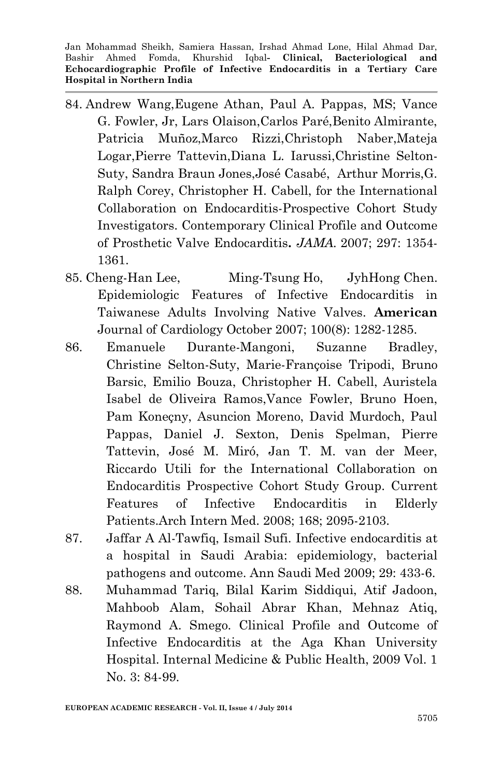- 84. Andrew Wang,Eugene Athan, Paul A. Pappas, MS; Vance G. Fowler, Jr, Lars Olaison,Carlos Paré,Benito Almirante, Patricia Muñoz,Marco Rizzi,Christoph Naber,Mateja Logar,Pierre Tattevin,Diana L. Iarussi,Christine Selton-Suty, Sandra Braun Jones,José Casabé, Arthur Morris,G. Ralph Corey, Christopher H. Cabell, for the International Collaboration on Endocarditis-Prospective Cohort Study Investigators. Contemporary Clinical Profile and Outcome of Prosthetic Valve Endocarditis**.** *JAMA.* 2007; 297: 1354- 1361.
- 85. [Cheng-Han](http://www.ajconline.org/article/S0002-9149(07)01379-3/abstract) Lee, [Ming-Tsung](http://www.ajconline.org/article/S0002-9149(07)01379-3/abstract) Ho, [JyhHong](http://www.ajconline.org/article/S0002-9149(07)01379-3/abstract) Chen. Epidemiologic Features of Infective Endocarditis in Taiwanese Adults Involving Native Valves. **American**  Journal of Cardiology October 2007; 100(8): 1282-1285.
- 86. Emanuele Durante-Mangoni, Suzanne Bradley, Christine Selton-Suty, Marie-Françoise Tripodi, Bruno Barsic, Emilio Bouza, Christopher H. Cabell, Auristela Isabel de Oliveira Ramos,Vance Fowler, Bruno Hoen, Pam Koneçny, Asuncion Moreno, David Murdoch, Paul Pappas, Daniel J. Sexton, Denis Spelman, Pierre Tattevin, José M. Miró, Jan T. M. van der Meer, Riccardo Utili for the International Collaboration on Endocarditis Prospective Cohort Study Group. Current Features of Infective Endocarditis in Elderly Patients.Arch Intern Med. 2008; 168; 2095-2103.
- 87. Jaffar A Al-Tawfiq, Ismail Sufi. Infective endocarditis at a hospital in Saudi Arabia: epidemiology, bacterial pathogens and outcome. Ann Saudi Med 2009; 29: 433-6.
- 88. Muhammad Tariq, Bilal Karim Siddiqui, Atif Jadoon, Mahboob Alam, Sohail Abrar Khan, Mehnaz Atiq, Raymond A. Smego. [Clinical Profile and Outcome of](http://www.iomcworld.com/ijcrimph/ijcrimph-v01-n03-01.htm)  [Infective Endocarditis at the Aga Khan University](http://www.iomcworld.com/ijcrimph/ijcrimph-v01-n03-01.htm)  [Hospital.](http://www.iomcworld.com/ijcrimph/ijcrimph-v01-n03-01.htm) Internal Medicine & Public Health, 2009 Vol. 1 No. 3: 84-99.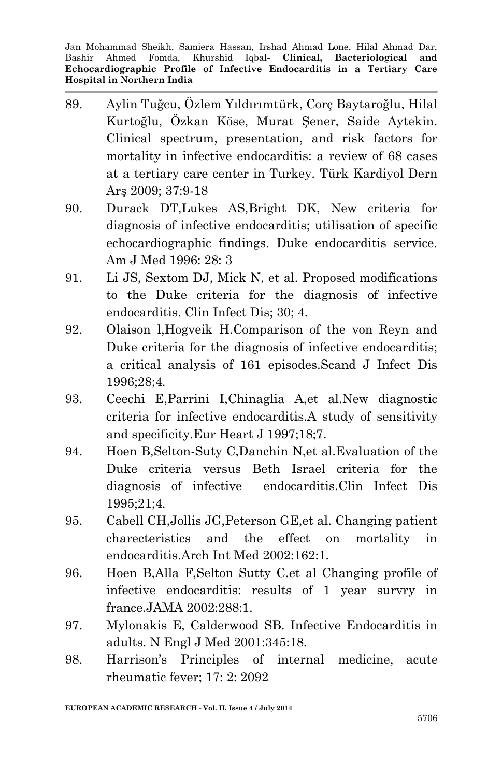- 89. Aylin Tuğcu, Özlem Yıldırımtürk, Corç Baytaroğlu, Hilal Kurtoğlu, Özkan Köse, Murat Şener, Saide Aytekin. Clinical spectrum, presentation, and risk factors for mortality in infective endocarditis: a review of 68 cases at a tertiary care center in Turkey. Türk Kardiyol Dern Arş 2009; 37:9-18
- 90. Durack DT,Lukes AS,Bright DK, New criteria for diagnosis of infective endocarditis; utilisation of specific echocardiographic findings. Duke endocarditis service. Am J Med 1996: 28: 3
- 91. Li JS, Sextom DJ, Mick N, et al. Proposed modifications to the Duke criteria for the diagnosis of infective endocarditis. Clin Infect Dis; 30; 4.
- 92. Olaison l,Hogveik H.Comparison of the von Reyn and Duke criteria for the diagnosis of infective endocarditis; a critical analysis of 161 episodes.Scand J Infect Dis 1996;28;4.
- 93. Ceechi E,Parrini I,Chinaglia A,et al.New diagnostic criteria for infective endocarditis.A study of sensitivity and specificity.Eur Heart J 1997;18;7.
- 94. Hoen B,Selton-Suty C,Danchin N,et al.Evaluation of the Duke criteria versus Beth Israel criteria for the diagnosis of infective endocarditis.Clin Infect Dis 1995;21;4.
- 95. Cabell CH,Jollis JG,Peterson GE,et al. Changing patient charecteristics and the effect on mortality in endocarditis.Arch Int Med 2002:162:1.
- 96. Hoen B,Alla F,Selton Sutty C.et al Changing profile of infective endocarditis: results of 1 year survry in france.JAMA 2002:288:1.
- 97. Mylonakis E, Calderwood SB. Infective Endocarditis in adults. N Engl J Med 2001:345:18.
- 98. Harrison's Principles of internal medicine, acute rheumatic fever; 17: 2: 2092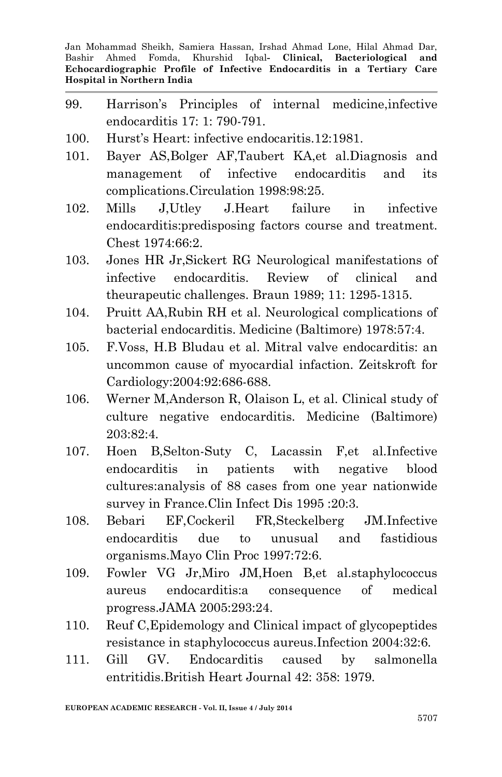- 99. Harrison's Principles of internal medicine,infective endocarditis 17: 1: 790-791.
- 100. Hurst's Heart: infective endocaritis.12:1981.
- 101. Bayer AS,Bolger AF,Taubert KA,et al.Diagnosis and management of infective endocarditis and its complications.Circulation 1998:98:25.
- 102. Mills J,Utley J.Heart failure in infective endocarditis:predisposing factors course and treatment. Chest 1974:66:2.
- 103. Jones HR Jr,Sickert RG Neurological manifestations of infective endocarditis. Review of clinical and theurapeutic challenges. Braun 1989; 11: 1295-1315.
- 104. Pruitt AA,Rubin RH et al. Neurological complications of bacterial endocarditis. Medicine (Baltimore) 1978:57:4.
- 105. F.Voss, H.B Bludau et al. Mitral valve endocarditis: an uncommon cause of myocardial infaction. Zeitskroft for Cardiology:2004:92:686-688.
- 106. Werner M,Anderson R, Olaison L, et al. Clinical study of culture negative endocarditis. Medicine (Baltimore) 203:82:4.
- 107. Hoen B,Selton-Suty C, Lacassin F,et al.Infective endocarditis in patients with negative blood cultures:analysis of 88 cases from one year nationwide survey in France.Clin Infect Dis 1995 :20:3.
- 108. Bebari EF,Cockeril FR,Steckelberg JM.Infective endocarditis due to unusual and fastidious organisms.Mayo Clin Proc 1997:72:6.
- 109. Fowler VG Jr,Miro JM,Hoen B,et al.staphylococcus aureus endocarditis:a consequence of medical progress.JAMA 2005:293:24.
- 110. Reuf C,Epidemology and Clinical impact of glycopeptides resistance in staphylococcus aureus.Infection 2004:32:6.
- 111. Gill GV. Endocarditis caused by salmonella entritidis.British Heart Journal 42: 358: 1979.